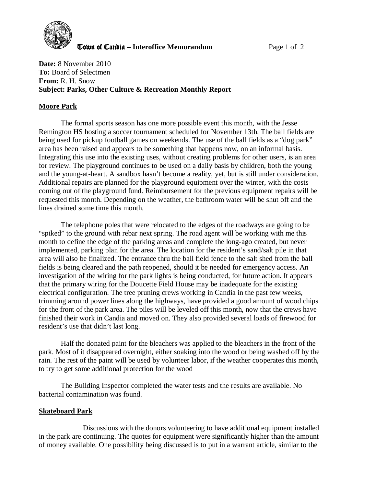

**The Town of Candia – Interoffice Memorandum Page 1 of 2** 

**Date:** 8 November 2010 **To:** Board of Selectmen **From:** R. H. Snow **Subject: Parks, Other Culture & Recreation Monthly Report** 

## **Moore Park**

The formal sports season has one more possible event this month, with the Jesse Remington HS hosting a soccer tournament scheduled for November 13th. The ball fields are being used for pickup football games on weekends. The use of the ball fields as a "dog park" area has been raised and appears to be something that happens now, on an informal basis. Integrating this use into the existing uses, without creating problems for other users, is an area for review. The playground continues to be used on a daily basis by children, both the young and the young-at-heart. A sandbox hasn't become a reality, yet, but is still under consideration. Additional repairs are planned for the playground equipment over the winter, with the costs coming out of the playground fund. Reimbursement for the previous equipment repairs will be requested this month. Depending on the weather, the bathroom water will be shut off and the lines drained some time this month.

The telephone poles that were relocated to the edges of the roadways are going to be "spiked" to the ground with rebar next spring. The road agent will be working with me this month to define the edge of the parking areas and complete the long-ago created, but never implemented, parking plan for the area. The location for the resident's sand/salt pile in that area will also be finalized. The entrance thru the ball field fence to the salt shed from the ball fields is being cleared and the path reopened, should it be needed for emergency access. An investigation of the wiring for the park lights is being conducted, for future action. It appears that the primary wiring for the Doucette Field House may be inadequate for the existing electrical configuration. The tree pruning crews working in Candia in the past few weeks, trimming around power lines along the highways, have provided a good amount of wood chips for the front of the park area. The piles will be leveled off this month, now that the crews have finished their work in Candia and moved on. They also provided several loads of firewood for resident's use that didn't last long.

Half the donated paint for the bleachers was applied to the bleachers in the front of the park. Most of it disappeared overnight, either soaking into the wood or being washed off by the rain. The rest of the paint will be used by volunteer labor, if the weather cooperates this month, to try to get some additional protection for the wood

The Building Inspector completed the water tests and the results are available. No bacterial contamination was found.

## **Skateboard Park**

 Discussions with the donors volunteering to have additional equipment installed in the park are continuing. The quotes for equipment were significantly higher than the amount of money available. One possibility being discussed is to put in a warrant article, similar to the